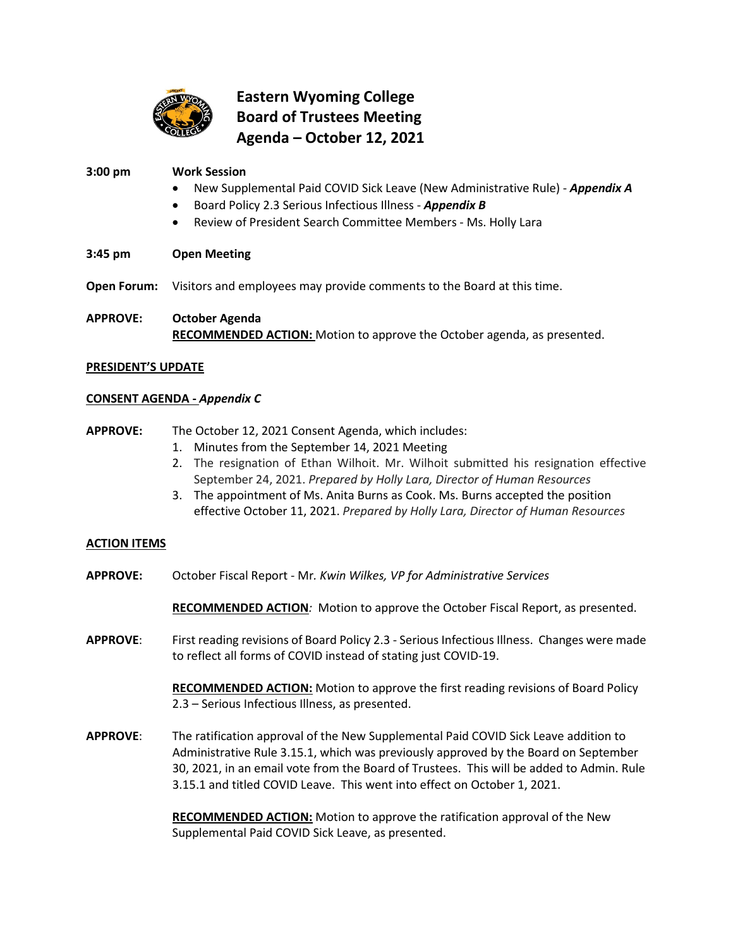

# **Eastern Wyoming College Board of Trustees Meeting Agenda – October 12, 2021**

## **3:00 pm Work Session**

- New Supplemental Paid COVID Sick Leave (New Administrative Rule) *Appendix A*
- Board Policy 2.3 Serious Infectious Illness *Appendix B*
- Review of President Search Committee Members Ms. Holly Lara
- **3:45 pm Open Meeting**

**Open Forum:** Visitors and employees may provide comments to the Board at this time.

**APPROVE: October Agenda RECOMMENDED ACTION:** Motion to approve the October agenda, as presented.

#### **PRESIDENT'S UPDATE**

### **CONSENT AGENDA -** *Appendix C*

## **APPROVE:** The October 12, 2021 Consent Agenda, which includes:

- 1. Minutes from the September 14, 2021 Meeting
- 2. The resignation of Ethan Wilhoit. Mr. Wilhoit submitted his resignation effective September 24, 2021. *Prepared by Holly Lara, Director of Human Resources*
- 3. The appointment of Ms. Anita Burns as Cook. Ms. Burns accepted the position effective October 11, 2021. *Prepared by Holly Lara, Director of Human Resources*

### **ACTION ITEMS**

**APPROVE:** October Fiscal Report - Mr*. Kwin Wilkes, VP for Administrative Services*

**RECOMMENDED ACTION***:* Motion to approve the October Fiscal Report, as presented.

**APPROVE**: First reading revisions of Board Policy 2.3 - Serious Infectious Illness. Changes were made to reflect all forms of COVID instead of stating just COVID-19.

> **RECOMMENDED ACTION:** Motion to approve the first reading revisions of Board Policy 2.3 – Serious Infectious Illness, as presented.

**APPROVE**: The ratification approval of the New Supplemental Paid COVID Sick Leave addition to Administrative Rule 3.15.1, which was previously approved by the Board on September 30, 2021, in an email vote from the Board of Trustees. This will be added to Admin. Rule 3.15.1 and titled COVID Leave. This went into effect on October 1, 2021.

> **RECOMMENDED ACTION:** Motion to approve the ratification approval of the New Supplemental Paid COVID Sick Leave, as presented.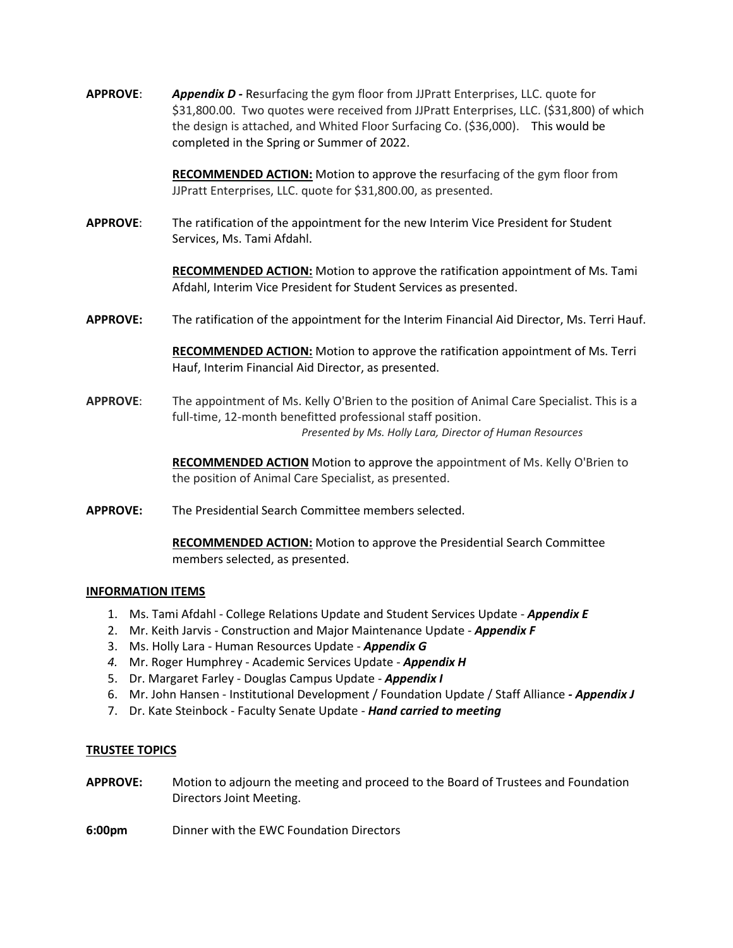**APPROVE**: *Appendix D -* Resurfacing the gym floor from JJPratt Enterprises, LLC. quote for \$31,800.00. Two quotes were received from JJPratt Enterprises, LLC. (\$31,800) of which the design is attached, and Whited Floor Surfacing Co. (\$36,000). This would be completed in the Spring or Summer of 2022.

> **RECOMMENDED ACTION:** Motion to approve the resurfacing of the gym floor from JJPratt Enterprises, LLC. quote for \$31,800.00, as presented.

**APPROVE**: The ratification of the appointment for the new Interim Vice President for Student Services, Ms. Tami Afdahl.

> **RECOMMENDED ACTION:** Motion to approve the ratification appointment of Ms. Tami Afdahl, Interim Vice President for Student Services as presented.

**APPROVE:** The ratification of the appointment for the Interim Financial Aid Director, Ms. Terri Hauf.

**RECOMMENDED ACTION:** Motion to approve the ratification appointment of Ms. Terri Hauf, Interim Financial Aid Director, as presented.

**APPROVE**: The appointment of Ms. Kelly O'Brien to the position of Animal Care Specialist. This is a full-time, 12-month benefitted professional staff position. *Presented by Ms. Holly Lara, Director of Human Resources*

> **RECOMMENDED ACTION** Motion to approve the appointment of Ms. Kelly O'Brien to the position of Animal Care Specialist, as presented.

**APPROVE:** The Presidential Search Committee members selected.

**RECOMMENDED ACTION:** Motion to approve the Presidential Search Committee members selected, as presented.

#### **INFORMATION ITEMS**

- 1. Ms. Tami Afdahl College Relations Update and Student Services Update *Appendix E*
- 2. Mr. Keith Jarvis Construction and Major Maintenance Update *Appendix F*
- 3. Ms. Holly Lara Human Resources Update *Appendix G*
- *4.* Mr. Roger Humphrey Academic Services Update *Appendix H*
- 5. Dr. Margaret Farley Douglas Campus Update *Appendix I*
- 6. Mr. John Hansen Institutional Development / Foundation Update / Staff Alliance *- Appendix J*
- 7. Dr. Kate Steinbock Faculty Senate Update *Hand carried to meeting*

#### **TRUSTEE TOPICS**

- **APPROVE:** Motion to adjourn the meeting and proceed to the Board of Trustees and Foundation Directors Joint Meeting.
- **6:00pm** Dinner with the EWC Foundation Directors